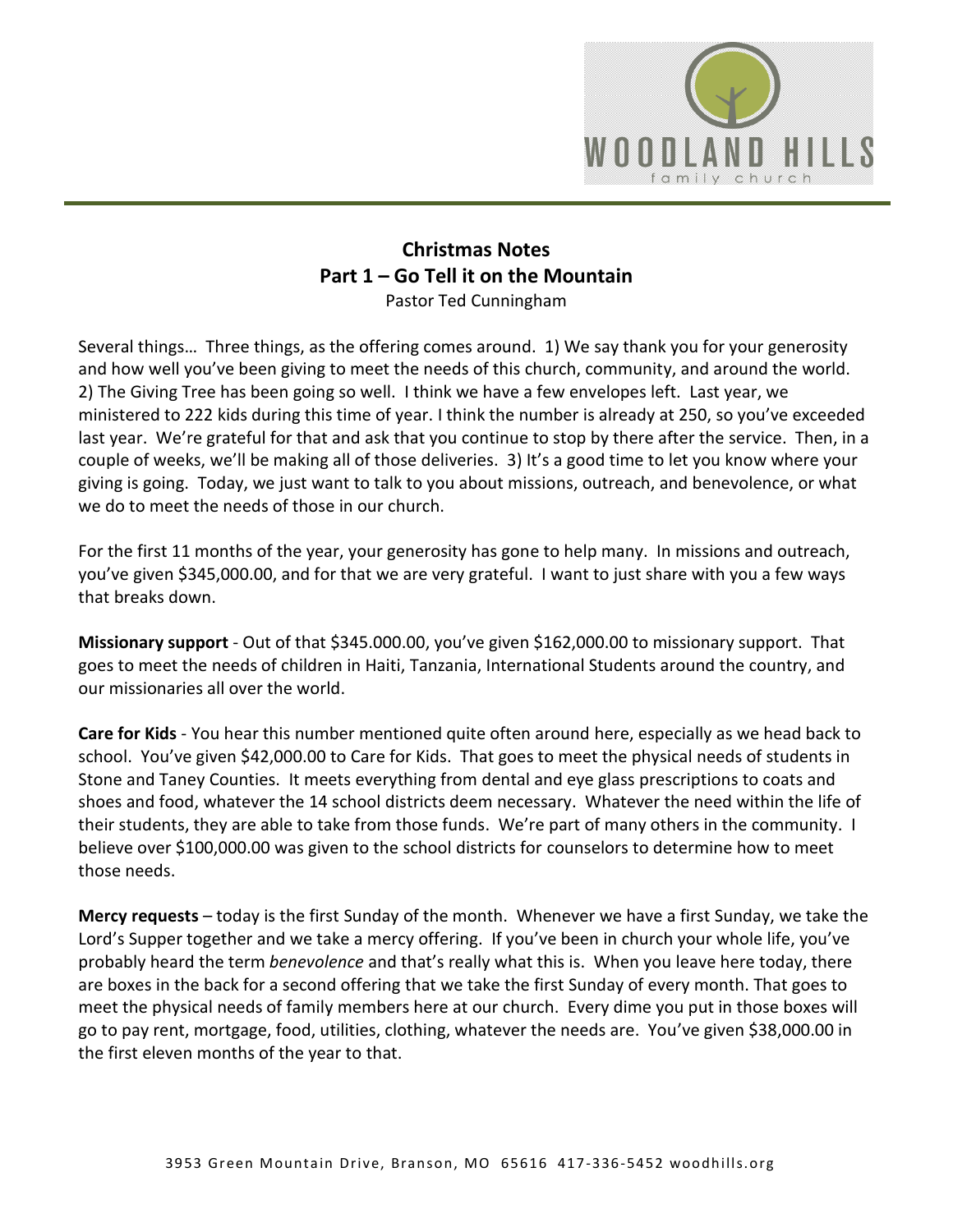

## **Christmas Notes Part 1 – Go Tell it on the Mountain**  Pastor Ted Cunningham

Several things… Three things, as the offering comes around. 1) We say thank you for your generosity and how well you've been giving to meet the needs of this church, community, and around the world. 2) The Giving Tree has been going so well. I think we have a few envelopes left. Last year, we ministered to 222 kids during this time of year. I think the number is already at 250, so you've exceeded last year. We're grateful for that and ask that you continue to stop by there after the service. Then, in a couple of weeks, we'll be making all of those deliveries. 3) It's a good time to let you know where your giving is going. Today, we just want to talk to you about missions, outreach, and benevolence, or what we do to meet the needs of those in our church.

For the first 11 months of the year, your generosity has gone to help many. In missions and outreach, you've given \$345,000.00, and for that we are very grateful. I want to just share with you a few ways that breaks down.

**Missionary support** - Out of that \$345.000.00, you've given \$162,000.00 to missionary support. That goes to meet the needs of children in Haiti, Tanzania, International Students around the country, and our missionaries all over the world.

**Care for Kids** - You hear this number mentioned quite often around here, especially as we head back to school. You've given \$42,000.00 to Care for Kids. That goes to meet the physical needs of students in Stone and Taney Counties. It meets everything from dental and eye glass prescriptions to coats and shoes and food, whatever the 14 school districts deem necessary. Whatever the need within the life of their students, they are able to take from those funds. We're part of many others in the community. I believe over \$100,000.00 was given to the school districts for counselors to determine how to meet those needs.

**Mercy requests** – today is the first Sunday of the month. Whenever we have a first Sunday, we take the Lord's Supper together and we take a mercy offering. If you've been in church your whole life, you've probably heard the term *benevolence* and that's really what this is. When you leave here today, there are boxes in the back for a second offering that we take the first Sunday of every month. That goes to meet the physical needs of family members here at our church. Every dime you put in those boxes will go to pay rent, mortgage, food, utilities, clothing, whatever the needs are. You've given \$38,000.00 in the first eleven months of the year to that.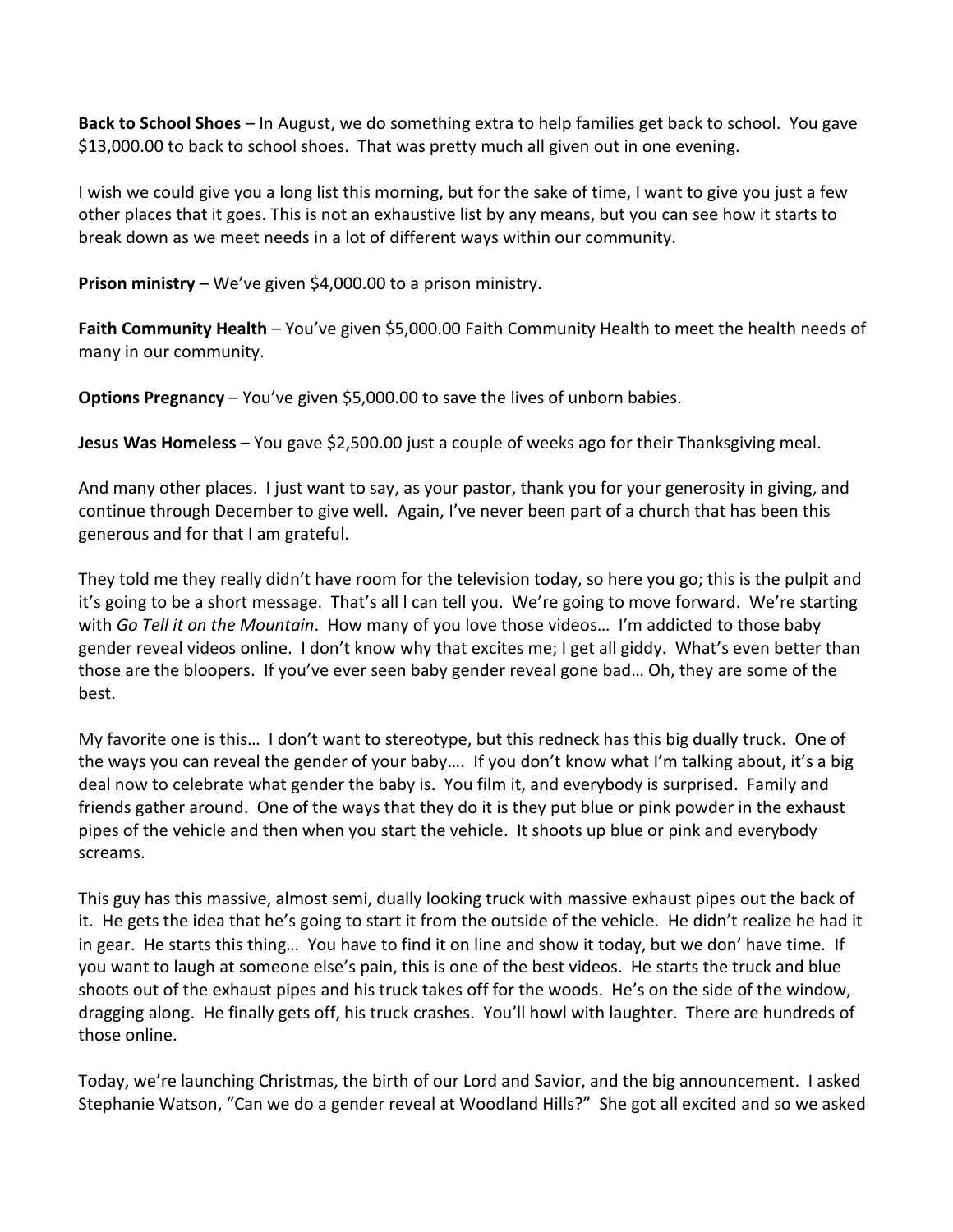**Back to School Shoes** – In August, we do something extra to help families get back to school. You gave \$13,000.00 to back to school shoes. That was pretty much all given out in one evening.

I wish we could give you a long list this morning, but for the sake of time, I want to give you just a few other places that it goes. This is not an exhaustive list by any means, but you can see how it starts to break down as we meet needs in a lot of different ways within our community.

**Prison ministry** – We've given \$4,000.00 to a prison ministry.

**Faith Community Health** – You've given \$5,000.00 Faith Community Health to meet the health needs of many in our community.

**Options Pregnancy** – You've given \$5,000.00 to save the lives of unborn babies.

**Jesus Was Homeless** – You gave \$2,500.00 just a couple of weeks ago for their Thanksgiving meal.

And many other places. I just want to say, as your pastor, thank you for your generosity in giving, and continue through December to give well. Again, I've never been part of a church that has been this generous and for that I am grateful.

They told me they really didn't have room for the television today, so here you go; this is the pulpit and it's going to be a short message. That's all l can tell you. We're going to move forward. We're starting with *Go Tell it on the Mountain*. How many of you love those videos… I'm addicted to those baby gender reveal videos online. I don't know why that excites me; I get all giddy. What's even better than those are the bloopers. If you've ever seen baby gender reveal gone bad… Oh, they are some of the best.

My favorite one is this… I don't want to stereotype, but this redneck has this big dually truck. One of the ways you can reveal the gender of your baby…. If you don't know what I'm talking about, it's a big deal now to celebrate what gender the baby is. You film it, and everybody is surprised. Family and friends gather around. One of the ways that they do it is they put blue or pink powder in the exhaust pipes of the vehicle and then when you start the vehicle. It shoots up blue or pink and everybody screams.

This guy has this massive, almost semi, dually looking truck with massive exhaust pipes out the back of it. He gets the idea that he's going to start it from the outside of the vehicle. He didn't realize he had it in gear. He starts this thing… You have to find it on line and show it today, but we don' have time. If you want to laugh at someone else's pain, this is one of the best videos. He starts the truck and blue shoots out of the exhaust pipes and his truck takes off for the woods. He's on the side of the window, dragging along. He finally gets off, his truck crashes. You'll howl with laughter. There are hundreds of those online.

Today, we're launching Christmas, the birth of our Lord and Savior, and the big announcement. I asked Stephanie Watson, "Can we do a gender reveal at Woodland Hills?" She got all excited and so we asked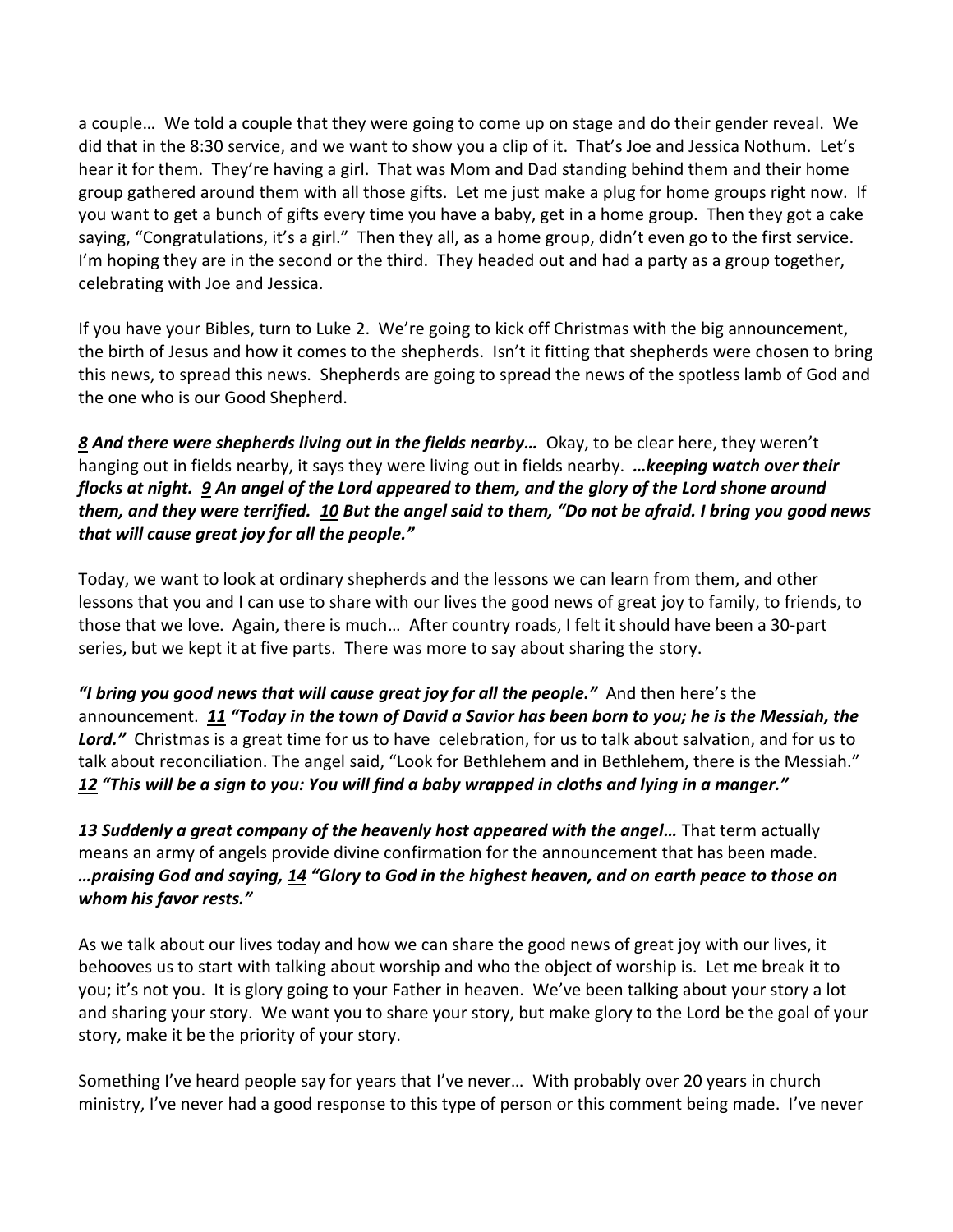a couple… We told a couple that they were going to come up on stage and do their gender reveal. We did that in the 8:30 service, and we want to show you a clip of it. That's Joe and Jessica Nothum. Let's hear it for them. They're having a girl. That was Mom and Dad standing behind them and their home group gathered around them with all those gifts. Let me just make a plug for home groups right now. If you want to get a bunch of gifts every time you have a baby, get in a home group. Then they got a cake saying, "Congratulations, it's a girl." Then they all, as a home group, didn't even go to the first service. I'm hoping they are in the second or the third. They headed out and had a party as a group together, celebrating with Joe and Jessica.

If you have your Bibles, turn to Luke 2. We're going to kick off Christmas with the big announcement, the birth of Jesus and how it comes to the shepherds. Isn't it fitting that shepherds were chosen to bring this news, to spread this news. Shepherds are going to spread the news of the spotless lamb of God and the one who is our Good Shepherd.

*[8](https://www.studylight.org/desk/?q=lu%202:8&t1=en_niv&sr=1) And there were shepherds living out in the fields nearby…* Okay, to be clear here, they weren't hanging out in fields nearby, it says they were living out in fields nearby. *…keeping watch over their flocks at night. [9](https://www.studylight.org/desk/?q=lu%202:9&t1=en_niv&sr=1) An angel of the Lord appeared to them, and the glory of the Lord shone around them, and they were terrified. [10](https://www.studylight.org/desk/?q=lu%202:10&t1=en_niv&sr=1) But the angel said to them, "Do not be afraid. I bring you good news that will cause great joy for all the people."* 

Today, we want to look at ordinary shepherds and the lessons we can learn from them, and other lessons that you and I can use to share with our lives the good news of great joy to family, to friends, to those that we love. Again, there is much… After country roads, I felt it should have been a 30-part series, but we kept it at five parts. There was more to say about sharing the story.

*"I bring you good news that will cause great joy for all the people."* And then here's the announcement. *[11](https://www.studylight.org/desk/?q=lu%202:11&t1=en_niv&sr=1) "Today in the town of David a Savior has been born to you; he is the Messiah, the Lord."* Christmas is a great time for us to have celebration, for us to talk about salvation, and for us to talk about reconciliation. The angel said, "Look for Bethlehem and in Bethlehem, there is the Messiah." *[12](https://www.studylight.org/desk/?q=lu%202:12&t1=en_niv&sr=1) "This will be a sign to you: You will find a baby wrapped in cloths and lying in a manger."*

*[13](https://www.studylight.org/desk/?q=lu%202:13&t1=en_niv&sr=1) Suddenly a great company of the heavenly host appeared with the angel…* That term actually means an army of angels provide divine confirmation for the announcement that has been made. *…praising God and saying, [14](https://www.studylight.org/desk/?q=lu%202:14&t1=en_niv&sr=1) "Glory to God in the highest heaven, and on earth peace to those on whom his favor rests."*

As we talk about our lives today and how we can share the good news of great joy with our lives, it behooves us to start with talking about worship and who the object of worship is. Let me break it to you; it's not you. It is glory going to your Father in heaven. We've been talking about your story a lot and sharing your story. We want you to share your story, but make glory to the Lord be the goal of your story, make it be the priority of your story.

Something I've heard people say for years that I've never… With probably over 20 years in church ministry, I've never had a good response to this type of person or this comment being made. I've never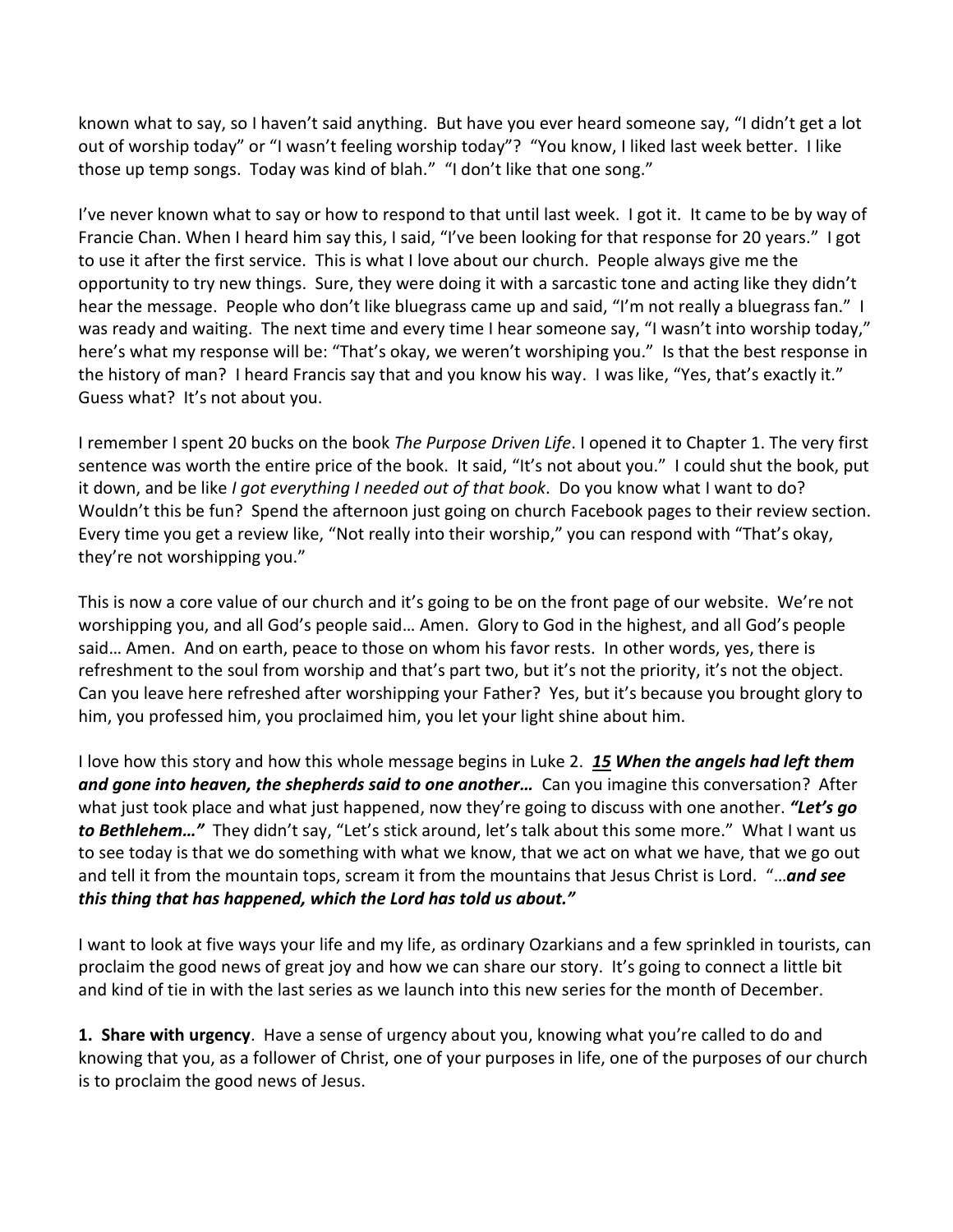known what to say, so I haven't said anything. But have you ever heard someone say, "I didn't get a lot out of worship today" or "I wasn't feeling worship today"? "You know, I liked last week better. I like those up temp songs. Today was kind of blah." "I don't like that one song."

I've never known what to say or how to respond to that until last week. I got it. It came to be by way of Francie Chan. When I heard him say this, I said, "I've been looking for that response for 20 years." I got to use it after the first service. This is what I love about our church. People always give me the opportunity to try new things. Sure, they were doing it with a sarcastic tone and acting like they didn't hear the message. People who don't like bluegrass came up and said, "I'm not really a bluegrass fan." I was ready and waiting. The next time and every time I hear someone say, "I wasn't into worship today," here's what my response will be: "That's okay, we weren't worshiping you." Is that the best response in the history of man? I heard Francis say that and you know his way. I was like, "Yes, that's exactly it." Guess what? It's not about you.

I remember I spent 20 bucks on the book *The Purpose Driven Life*. I opened it to Chapter 1. The very first sentence was worth the entire price of the book. It said, "It's not about you." I could shut the book, put it down, and be like *I got everything I needed out of that book*. Do you know what I want to do? Wouldn't this be fun? Spend the afternoon just going on church Facebook pages to their review section. Every time you get a review like, "Not really into their worship," you can respond with "That's okay, they're not worshipping you."

This is now a core value of our church and it's going to be on the front page of our website. We're not worshipping you, and all God's people said… Amen. Glory to God in the highest, and all God's people said… Amen. And on earth, peace to those on whom his favor rests. In other words, yes, there is refreshment to the soul from worship and that's part two, but it's not the priority, it's not the object. Can you leave here refreshed after worshipping your Father? Yes, but it's because you brought glory to him, you professed him, you proclaimed him, you let your light shine about him.

I love how this story and how this whole message begins in Luke 2. *[15](https://www.studylight.org/desk/?q=lu%202:15&t1=en_niv&sr=1) When the angels had left them and gone into heaven, the shepherds said to one another…* Can you imagine this conversation? After what just took place and what just happened, now they're going to discuss with one another. *"Let's go to Bethlehem…"* They didn't say, "Let's stick around, let's talk about this some more." What I want us to see today is that we do something with what we know, that we act on what we have, that we go out and tell it from the mountain tops, scream it from the mountains that Jesus Christ is Lord. "…*and see this thing that has happened, which the Lord has told us about."*

I want to look at five ways your life and my life, as ordinary Ozarkians and a few sprinkled in tourists, can proclaim the good news of great joy and how we can share our story. It's going to connect a little bit and kind of tie in with the last series as we launch into this new series for the month of December.

**1. Share with urgency**. Have a sense of urgency about you, knowing what you're called to do and knowing that you, as a follower of Christ, one of your purposes in life, one of the purposes of our church is to proclaim the good news of Jesus.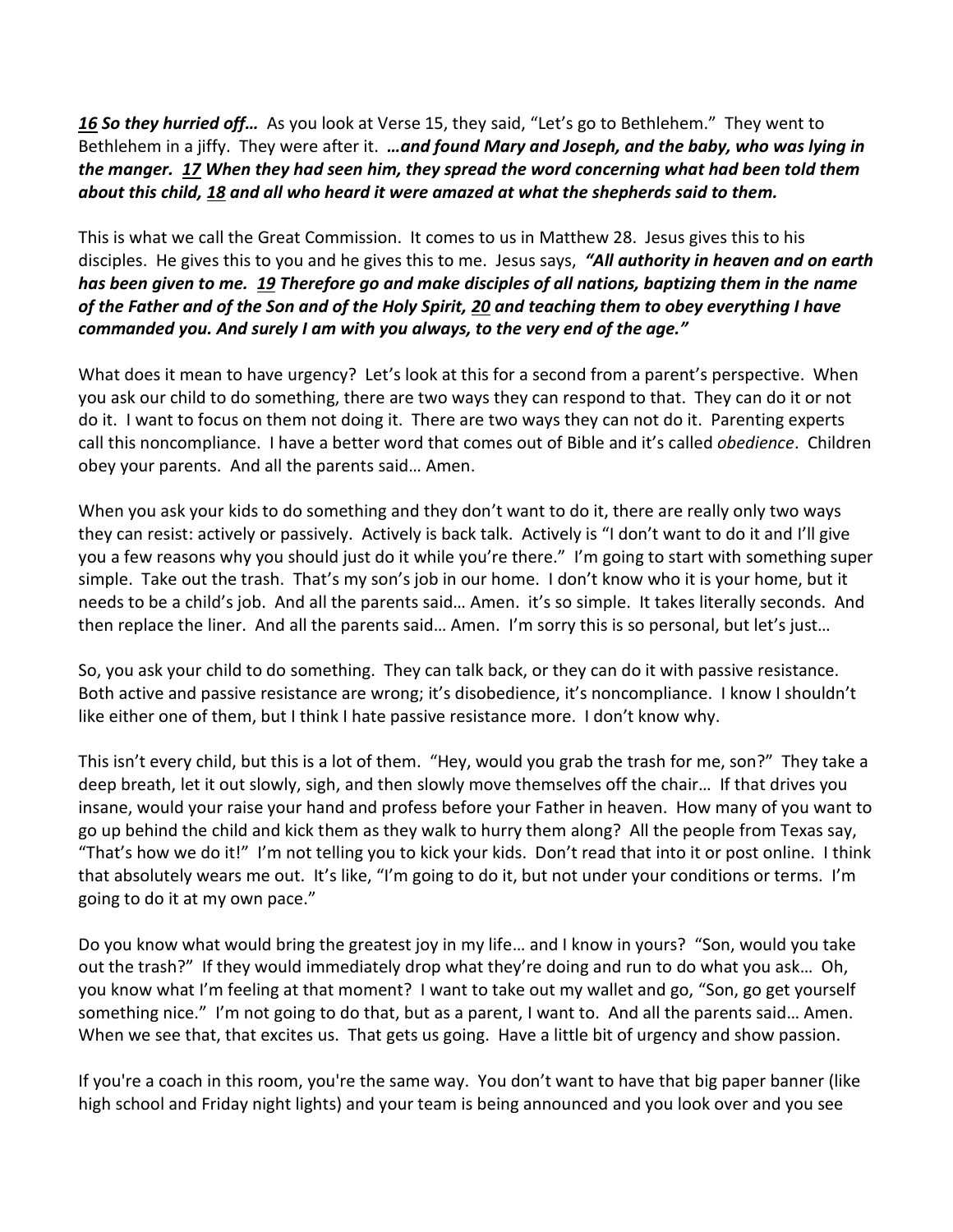*[16](https://www.studylight.org/desk/?q=lu%202:16&t1=en_niv&sr=1) So they hurried off…* As you look at Verse 15, they said, "Let's go to Bethlehem." They went to Bethlehem in a jiffy. They were after it. *…and found Mary and Joseph, and the baby, who was lying in the manger. [17](https://www.studylight.org/desk/?q=lu%202:17&t1=en_niv&sr=1) When they had seen him, they spread the word concerning what had been told them about this child, [18](https://www.studylight.org/desk/?q=lu%202:18&t1=en_niv&sr=1) and all who heard it were amazed at what the shepherds said to them.* 

This is what we call the Great Commission. It comes to us in Matthew 28. Jesus gives this to his disciples. He gives this to you and he gives this to me. Jesus says, *"All authority in heaven and on earth has been given to me. [19](https://www.studylight.org/desk/?q=mt%2028:19&t1=en_niv&sr=1) Therefore go and make disciples of all nations, baptizing them in the name of the Father and of the Son and of the Holy Spirit, [20](https://www.studylight.org/desk/?q=mt%2028:20&t1=en_niv&sr=1) and teaching them to obey everything I have commanded you. And surely I am with you always, to the very end of the age."*

What does it mean to have urgency? Let's look at this for a second from a parent's perspective. When you ask our child to do something, there are two ways they can respond to that. They can do it or not do it. I want to focus on them not doing it. There are two ways they can not do it. Parenting experts call this noncompliance. I have a better word that comes out of Bible and it's called *obedience*. Children obey your parents. And all the parents said… Amen.

When you ask your kids to do something and they don't want to do it, there are really only two ways they can resist: actively or passively. Actively is back talk. Actively is "I don't want to do it and I'll give you a few reasons why you should just do it while you're there." I'm going to start with something super simple. Take out the trash. That's my son's job in our home. I don't know who it is your home, but it needs to be a child's job. And all the parents said… Amen. it's so simple. It takes literally seconds. And then replace the liner. And all the parents said… Amen. I'm sorry this is so personal, but let's just…

So, you ask your child to do something. They can talk back, or they can do it with passive resistance. Both active and passive resistance are wrong; it's disobedience, it's noncompliance. I know I shouldn't like either one of them, but I think I hate passive resistance more. I don't know why.

This isn't every child, but this is a lot of them. "Hey, would you grab the trash for me, son?" They take a deep breath, let it out slowly, sigh, and then slowly move themselves off the chair… If that drives you insane, would your raise your hand and profess before your Father in heaven. How many of you want to go up behind the child and kick them as they walk to hurry them along? All the people from Texas say, "That's how we do it!" I'm not telling you to kick your kids. Don't read that into it or post online. I think that absolutely wears me out. It's like, "I'm going to do it, but not under your conditions or terms. I'm going to do it at my own pace."

Do you know what would bring the greatest joy in my life… and I know in yours? "Son, would you take out the trash?" If they would immediately drop what they're doing and run to do what you ask… Oh, you know what I'm feeling at that moment? I want to take out my wallet and go, "Son, go get yourself something nice." I'm not going to do that, but as a parent, I want to. And all the parents said… Amen. When we see that, that excites us. That gets us going. Have a little bit of urgency and show passion.

If you're a coach in this room, you're the same way. You don't want to have that big paper banner (like high school and Friday night lights) and your team is being announced and you look over and you see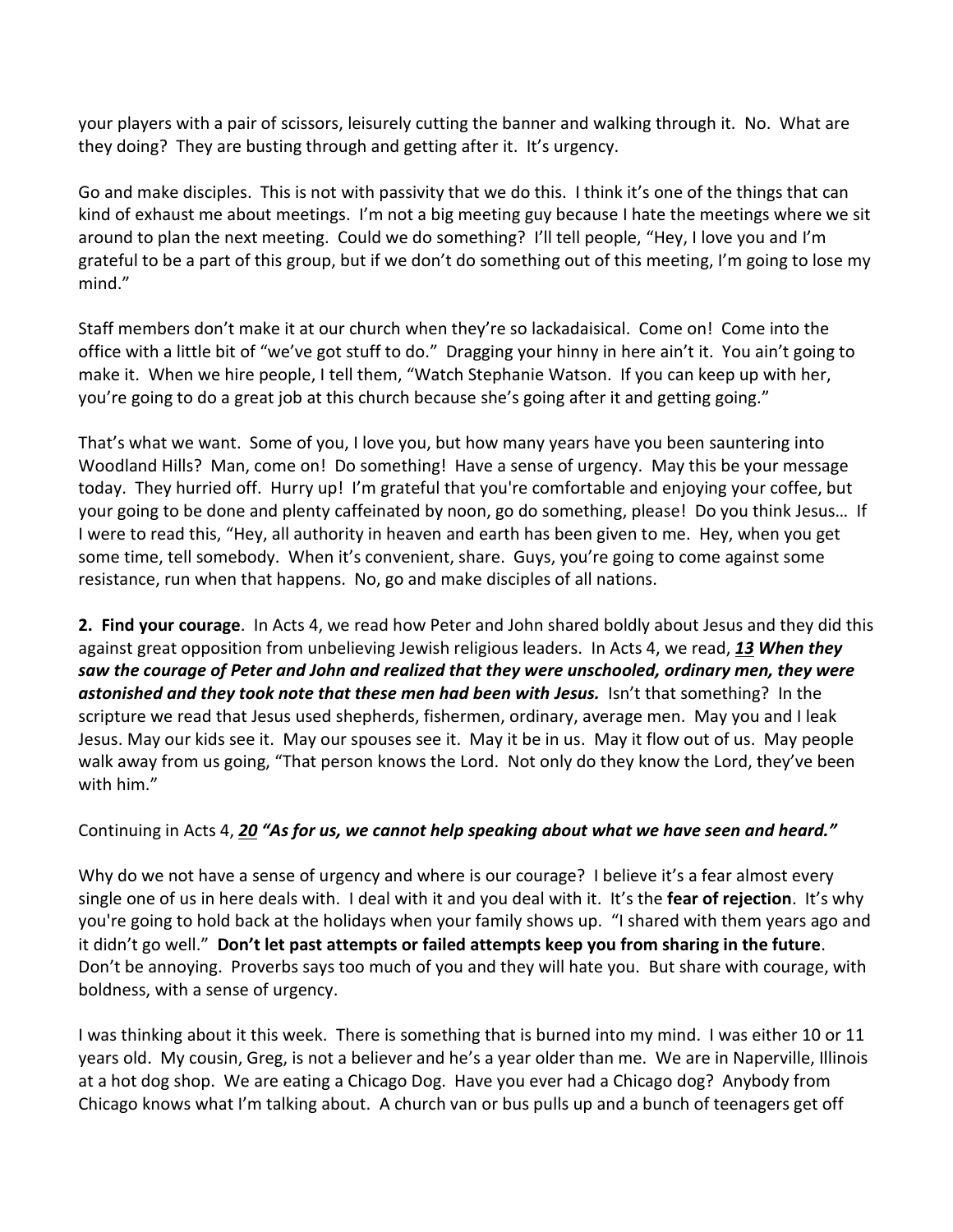your players with a pair of scissors, leisurely cutting the banner and walking through it. No. What are they doing? They are busting through and getting after it. It's urgency.

Go and make disciples. This is not with passivity that we do this. I think it's one of the things that can kind of exhaust me about meetings. I'm not a big meeting guy because I hate the meetings where we sit around to plan the next meeting. Could we do something? I'll tell people, "Hey, I love you and I'm grateful to be a part of this group, but if we don't do something out of this meeting, I'm going to lose my mind."

Staff members don't make it at our church when they're so lackadaisical. Come on! Come into the office with a little bit of "we've got stuff to do." Dragging your hinny in here ain't it. You ain't going to make it. When we hire people, I tell them, "Watch Stephanie Watson. If you can keep up with her, you're going to do a great job at this church because she's going after it and getting going."

That's what we want. Some of you, I love you, but how many years have you been sauntering into Woodland Hills? Man, come on! Do something! Have a sense of urgency. May this be your message today. They hurried off. Hurry up! I'm grateful that you're comfortable and enjoying your coffee, but your going to be done and plenty caffeinated by noon, go do something, please! Do you think Jesus… If I were to read this, "Hey, all authority in heaven and earth has been given to me. Hey, when you get some time, tell somebody. When it's convenient, share. Guys, you're going to come against some resistance, run when that happens. No, go and make disciples of all nations.

**2. Find your courage**. In Acts 4, we read how Peter and John shared boldly about Jesus and they did this against great opposition from unbelieving Jewish religious leaders. In Acts 4, we read, *[13](https://www.studylight.org/desk/?q=ac%204:13&t1=en_niv&sr=1) When they saw the courage of Peter and John and realized that they were unschooled, ordinary men, they were astonished and they took note that these men had been with Jesus.* Isn't that something? In the scripture we read that Jesus used shepherds, fishermen, ordinary, average men. May you and I leak Jesus. May our kids see it. May our spouses see it. May it be in us. May it flow out of us. May people walk away from us going, "That person knows the Lord. Not only do they know the Lord, they've been with him."

## Continuing in Acts 4, *[20](https://www.studylight.org/desk/?q=ac%204:20&t1=en_niv&sr=1) "As for us, we cannot help speaking about what we have seen and heard."*

Why do we not have a sense of urgency and where is our courage? I believe it's a fear almost every single one of us in here deals with. I deal with it and you deal with it. It's the **fear of rejection**. It's why you're going to hold back at the holidays when your family shows up. "I shared with them years ago and it didn't go well." **Don't let past attempts or failed attempts keep you from sharing in the future**. Don't be annoying. Proverbs says too much of you and they will hate you. But share with courage, with boldness, with a sense of urgency.

I was thinking about it this week. There is something that is burned into my mind. I was either 10 or 11 years old. My cousin, Greg, is not a believer and he's a year older than me. We are in Naperville, Illinois at a hot dog shop. We are eating a Chicago Dog. Have you ever had a Chicago dog? Anybody from Chicago knows what I'm talking about. A church van or bus pulls up and a bunch of teenagers get off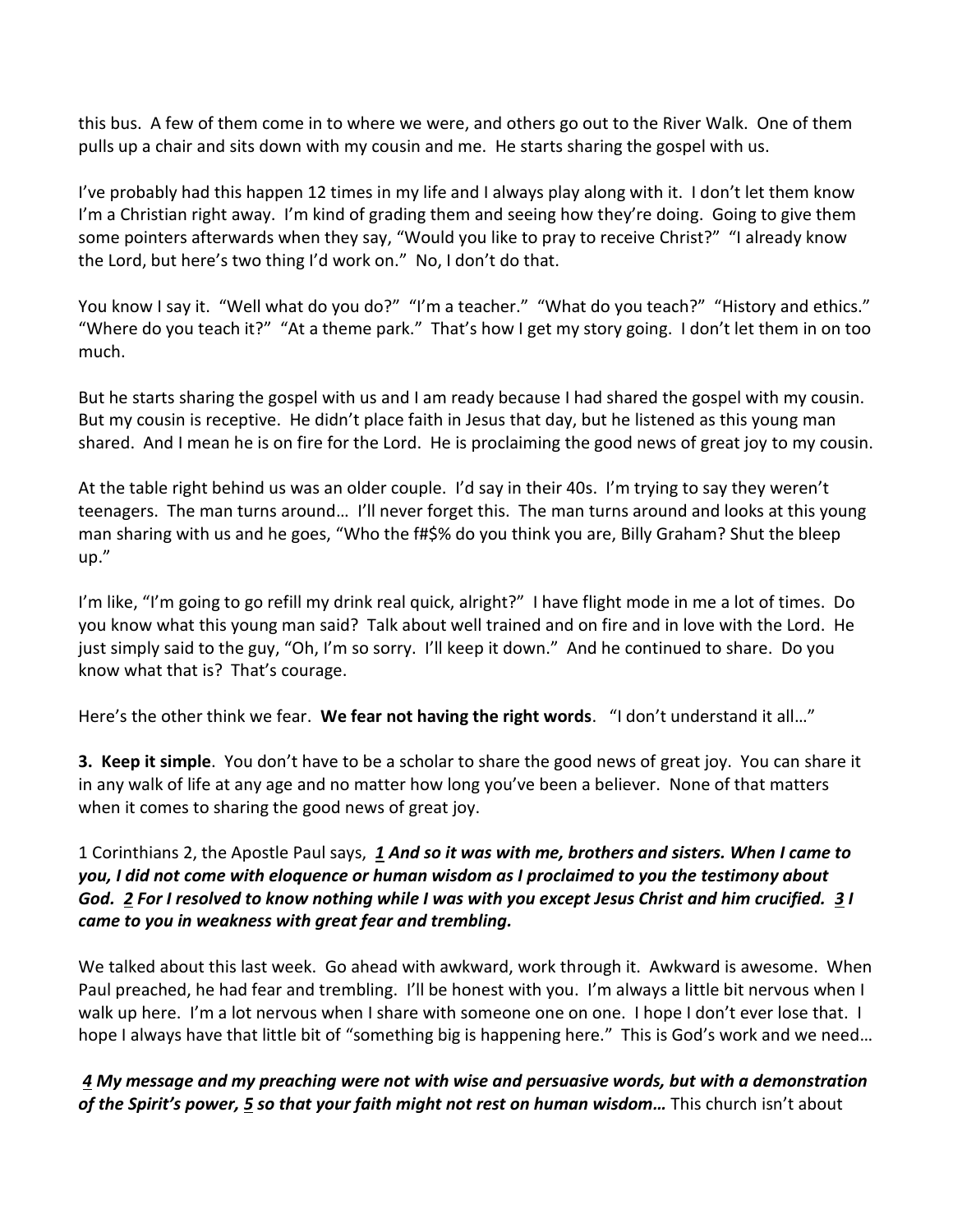this bus. A few of them come in to where we were, and others go out to the River Walk. One of them pulls up a chair and sits down with my cousin and me. He starts sharing the gospel with us.

I've probably had this happen 12 times in my life and I always play along with it. I don't let them know I'm a Christian right away. I'm kind of grading them and seeing how they're doing. Going to give them some pointers afterwards when they say, "Would you like to pray to receive Christ?" "I already know the Lord, but here's two thing I'd work on." No, I don't do that.

You know I say it. "Well what do you do?" "I'm a teacher." "What do you teach?" "History and ethics." "Where do you teach it?" "At a theme park." That's how I get my story going. I don't let them in on too much.

But he starts sharing the gospel with us and I am ready because I had shared the gospel with my cousin. But my cousin is receptive. He didn't place faith in Jesus that day, but he listened as this young man shared. And I mean he is on fire for the Lord. He is proclaiming the good news of great joy to my cousin.

At the table right behind us was an older couple. I'd say in their 40s. I'm trying to say they weren't teenagers. The man turns around… I'll never forget this. The man turns around and looks at this young man sharing with us and he goes, "Who the f#\$% do you think you are, Billy Graham? Shut the bleep up."

I'm like, "I'm going to go refill my drink real quick, alright?" I have flight mode in me a lot of times. Do you know what this young man said? Talk about well trained and on fire and in love with the Lord. He just simply said to the guy, "Oh, I'm so sorry. I'll keep it down." And he continued to share. Do you know what that is? That's courage.

Here's the other think we fear. **We fear not having the right words**. "I don't understand it all…"

**3. Keep it simple**. You don't have to be a scholar to share the good news of great joy. You can share it in any walk of life at any age and no matter how long you've been a believer. None of that matters when it comes to sharing the good news of great joy.

1 Corinthians 2, the Apostle Paul says, *[1](https://www.studylight.org/desk/?q=1co%202:1&t1=en_niv&sr=1) And so it was with me, brothers and sisters. When I came to you, I did not come with eloquence or human wisdom as I proclaimed to you the testimony about God. [2](https://www.studylight.org/desk/?q=1co%202:2&t1=en_niv&sr=1) For I resolved to know nothing while I was with you except Jesus Christ and him crucified. [3](https://www.studylight.org/desk/?q=1co%202:3&t1=en_niv&sr=1) I came to you in weakness with great fear and trembling.*

We talked about this last week. Go ahead with awkward, work through it. Awkward is awesome. When Paul preached, he had fear and trembling. I'll be honest with you. I'm always a little bit nervous when I walk up here. I'm a lot nervous when I share with someone one on one. I hope I don't ever lose that. I hope I always have that little bit of "something big is happening here." This is God's work and we need...

 *[4](https://www.studylight.org/desk/?q=1co%202:4&t1=en_niv&sr=1) My message and my preaching were not with wise and persuasive words, but with a demonstration of the Spirit's power, [5](https://www.studylight.org/desk/?q=1co%202:5&t1=en_niv&sr=1) so that your faith might not rest on human wisdom…* This church isn't about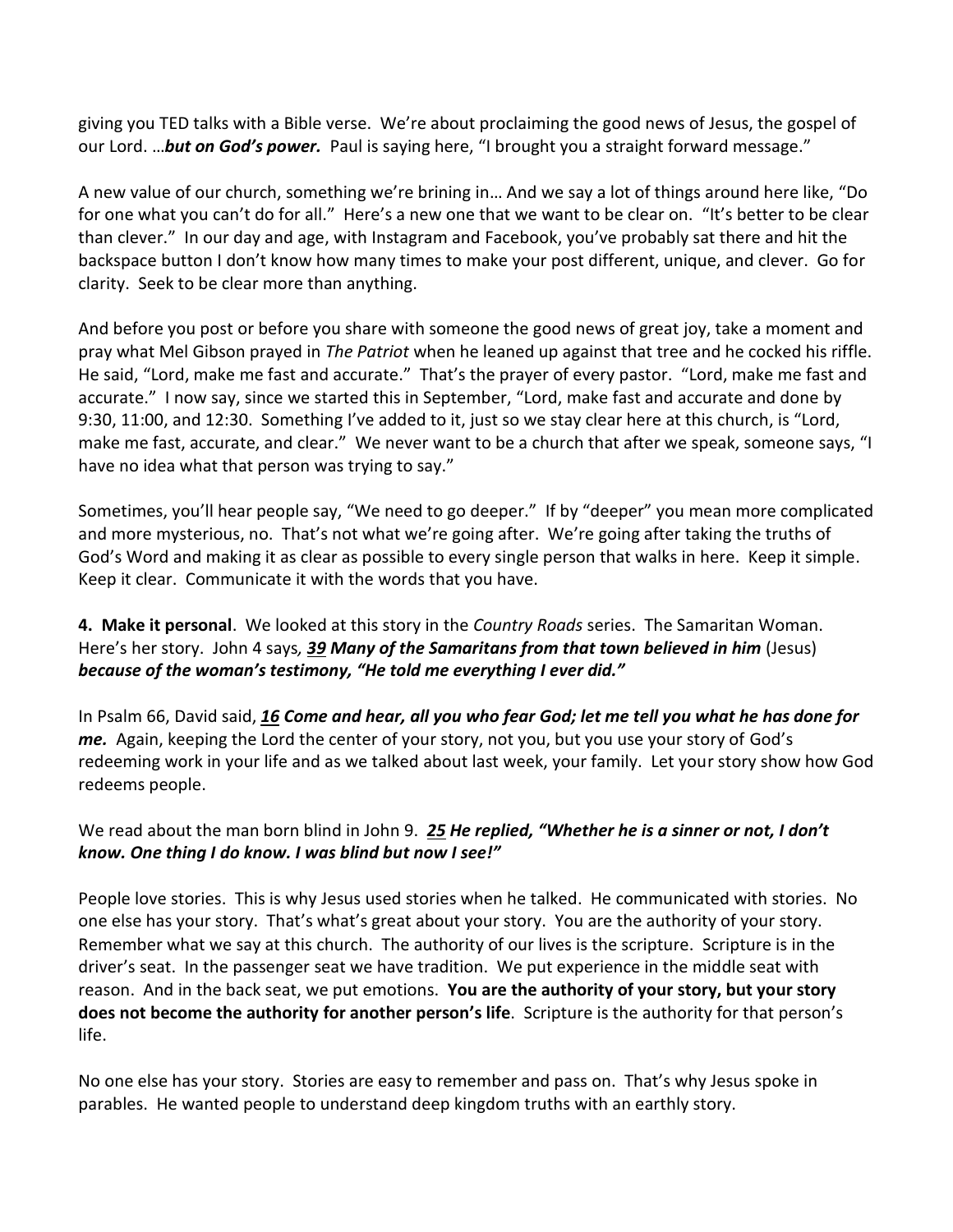giving you TED talks with a Bible verse. We're about proclaiming the good news of Jesus, the gospel of our Lord. …*but on God's power.* Paul is saying here, "I brought you a straight forward message."

A new value of our church, something we're brining in… And we say a lot of things around here like, "Do for one what you can't do for all." Here's a new one that we want to be clear on. "It's better to be clear than clever." In our day and age, with Instagram and Facebook, you've probably sat there and hit the backspace button I don't know how many times to make your post different, unique, and clever. Go for clarity. Seek to be clear more than anything.

And before you post or before you share with someone the good news of great joy, take a moment and pray what Mel Gibson prayed in *The Patriot* when he leaned up against that tree and he cocked his riffle. He said, "Lord, make me fast and accurate." That's the prayer of every pastor. "Lord, make me fast and accurate." I now say, since we started this in September, "Lord, make fast and accurate and done by 9:30, 11:00, and 12:30. Something I've added to it, just so we stay clear here at this church, is "Lord, make me fast, accurate, and clear." We never want to be a church that after we speak, someone says, "I have no idea what that person was trying to say."

Sometimes, you'll hear people say, "We need to go deeper." If by "deeper" you mean more complicated and more mysterious, no. That's not what we're going after. We're going after taking the truths of God's Word and making it as clear as possible to every single person that walks in here. Keep it simple. Keep it clear. Communicate it with the words that you have.

**4. Make it personal**. We looked at this story in the *Country Roads* series. The Samaritan Woman. Here's her story. John 4 says*, [39](https://www.studylight.org/desk/?q=joh%204:39&t1=en_niv&sr=1) Many of the Samaritans from that town believed in him* (Jesus) *because of the woman's testimony, "He told me everything I ever did."*

In Psalm 66, David said, *[16](https://www.studylight.org/desk/?q=ps%2066:16&t1=en_niv&sr=1) Come and hear, all you who fear God; let me tell you what he has done for me.* Again, keeping the Lord the center of your story, not you, but you use your story of God's redeeming work in your life and as we talked about last week, your family. Let your story show how God redeems people.

We read about the man born blind in John 9. *[25](https://www.studylight.org/desk/?q=joh%209:25&t1=en_niv&sr=1) He replied, "Whether he is a sinner or not, I don't know. One thing I do know. I was blind but now I see!"*

People love stories. This is why Jesus used stories when he talked. He communicated with stories. No one else has your story. That's what's great about your story. You are the authority of your story. Remember what we say at this church. The authority of our lives is the scripture. Scripture is in the driver's seat. In the passenger seat we have tradition. We put experience in the middle seat with reason. And in the back seat, we put emotions. **You are the authority of your story, but your story does not become the authority for another person's life**. Scripture is the authority for that person's life.

No one else has your story. Stories are easy to remember and pass on. That's why Jesus spoke in parables. He wanted people to understand deep kingdom truths with an earthly story.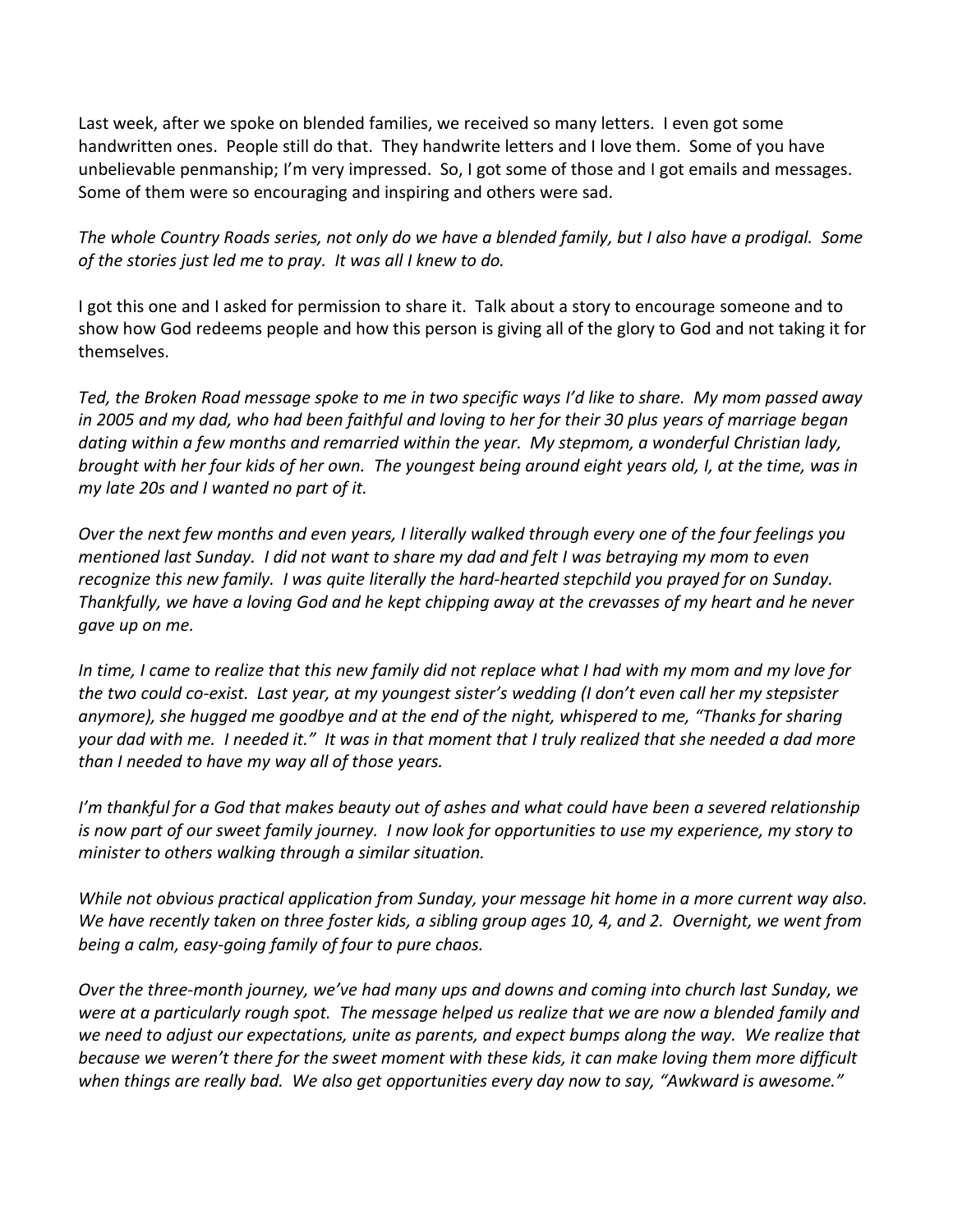Last week, after we spoke on blended families, we received so many letters. I even got some handwritten ones. People still do that. They handwrite letters and I love them. Some of you have unbelievable penmanship; I'm very impressed. So, I got some of those and I got emails and messages. Some of them were so encouraging and inspiring and others were sad.

*The whole Country Roads series, not only do we have a blended family, but I also have a prodigal. Some of the stories just led me to pray. It was all I knew to do.* 

I got this one and I asked for permission to share it. Talk about a story to encourage someone and to show how God redeems people and how this person is giving all of the glory to God and not taking it for themselves.

*Ted, the Broken Road message spoke to me in two specific ways I'd like to share. My mom passed away in 2005 and my dad, who had been faithful and loving to her for their 30 plus years of marriage began dating within a few months and remarried within the year. My stepmom, a wonderful Christian lady, brought with her four kids of her own. The youngest being around eight years old, I, at the time, was in my late 20s and I wanted no part of it.* 

*Over the next few months and even years, I literally walked through every one of the four feelings you mentioned last Sunday. I did not want to share my dad and felt I was betraying my mom to even recognize this new family. I was quite literally the hard-hearted stepchild you prayed for on Sunday. Thankfully, we have a loving God and he kept chipping away at the crevasses of my heart and he never gave up on me.* 

*In time, I came to realize that this new family did not replace what I had with my mom and my love for the two could co-exist. Last year, at my youngest sister's wedding (I don't even call her my stepsister anymore), she hugged me goodbye and at the end of the night, whispered to me, "Thanks for sharing your dad with me. I needed it." It was in that moment that I truly realized that she needed a dad more than I needed to have my way all of those years.* 

*I'm thankful for a God that makes beauty out of ashes and what could have been a severed relationship is now part of our sweet family journey. I now look for opportunities to use my experience, my story to minister to others walking through a similar situation.* 

*While not obvious practical application from Sunday, your message hit home in a more current way also. We have recently taken on three foster kids, a sibling group ages 10, 4, and 2. Overnight, we went from being a calm, easy-going family of four to pure chaos.* 

*Over the three-month journey, we've had many ups and downs and coming into church last Sunday, we were at a particularly rough spot. The message helped us realize that we are now a blended family and*  we need to adjust our expectations, unite as parents, and expect bumps along the way. We realize that *because we weren't there for the sweet moment with these kids, it can make loving them more difficult when things are really bad. We also get opportunities every day now to say, "Awkward is awesome."*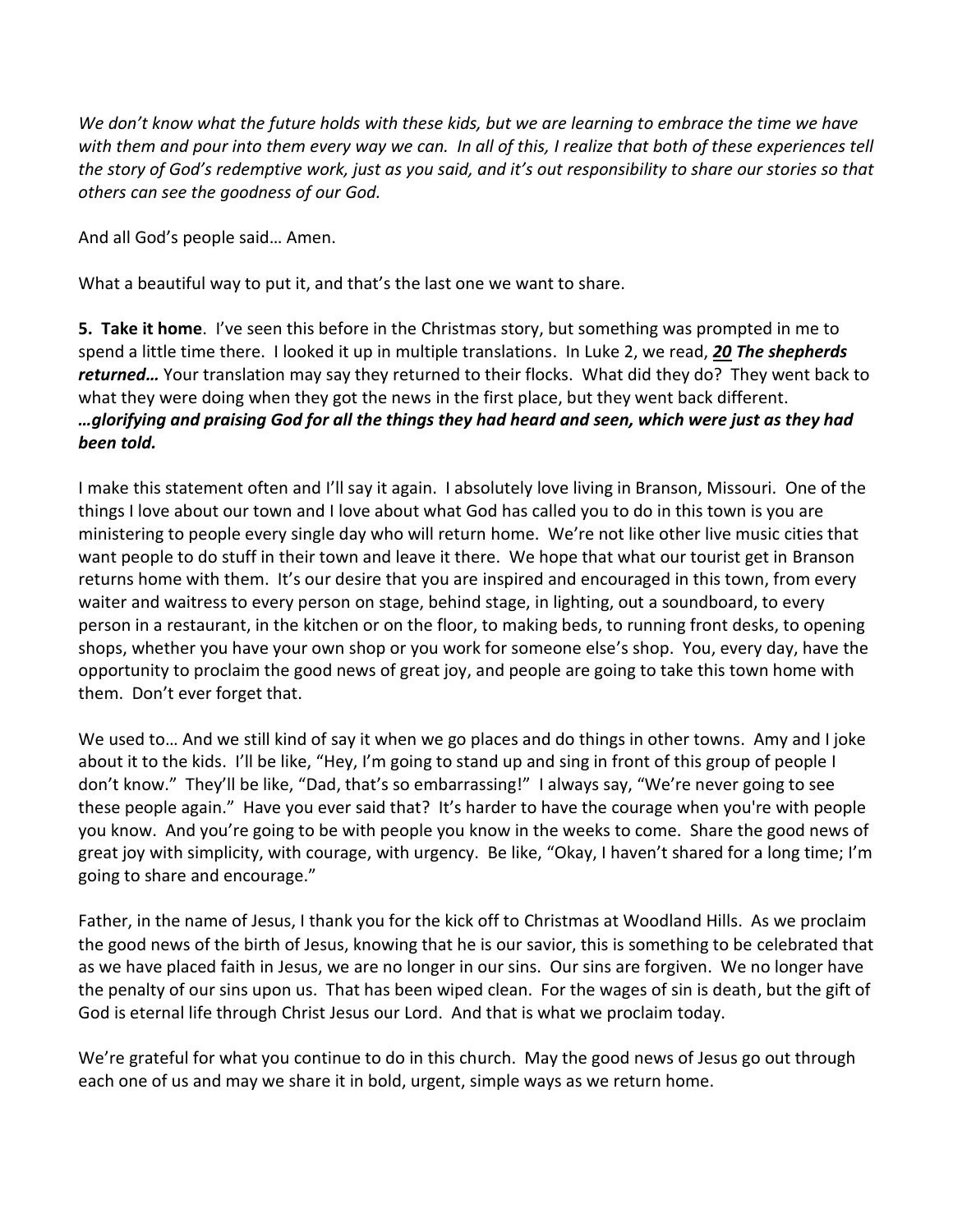*We don't know what the future holds with these kids, but we are learning to embrace the time we have with them and pour into them every way we can. In all of this, I realize that both of these experiences tell the story of God's redemptive work, just as you said, and it's out responsibility to share our stories so that others can see the goodness of our God.* 

And all God's people said… Amen.

What a beautiful way to put it, and that's the last one we want to share.

**5. Take it home**. I've seen this before in the Christmas story, but something was prompted in me to spend a little time there. I looked it up in multiple translations. In Luke 2, we read, *[20](https://www.studylight.org/desk/?q=lu%202:20&t1=en_niv&sr=1) The shepherds returned…* Your translation may say they returned to their flocks. What did they do? They went back to what they were doing when they got the news in the first place, but they went back different. *…glorifying and praising God for all the things they had heard and seen, which were just as they had been told.*

I make this statement often and I'll say it again. I absolutely love living in Branson, Missouri. One of the things I love about our town and I love about what God has called you to do in this town is you are ministering to people every single day who will return home. We're not like other live music cities that want people to do stuff in their town and leave it there. We hope that what our tourist get in Branson returns home with them. It's our desire that you are inspired and encouraged in this town, from every waiter and waitress to every person on stage, behind stage, in lighting, out a soundboard, to every person in a restaurant, in the kitchen or on the floor, to making beds, to running front desks, to opening shops, whether you have your own shop or you work for someone else's shop. You, every day, have the opportunity to proclaim the good news of great joy, and people are going to take this town home with them. Don't ever forget that.

We used to… And we still kind of say it when we go places and do things in other towns. Amy and I joke about it to the kids. I'll be like, "Hey, I'm going to stand up and sing in front of this group of people I don't know." They'll be like, "Dad, that's so embarrassing!" I always say, "We're never going to see these people again." Have you ever said that? It's harder to have the courage when you're with people you know. And you're going to be with people you know in the weeks to come. Share the good news of great joy with simplicity, with courage, with urgency. Be like, "Okay, I haven't shared for a long time; I'm going to share and encourage."

Father, in the name of Jesus, I thank you for the kick off to Christmas at Woodland Hills. As we proclaim the good news of the birth of Jesus, knowing that he is our savior, this is something to be celebrated that as we have placed faith in Jesus, we are no longer in our sins. Our sins are forgiven. We no longer have the penalty of our sins upon us. That has been wiped clean. For the wages of sin is death, but the gift of God is eternal life through Christ Jesus our Lord. And that is what we proclaim today.

We're grateful for what you continue to do in this church. May the good news of Jesus go out through each one of us and may we share it in bold, urgent, simple ways as we return home.